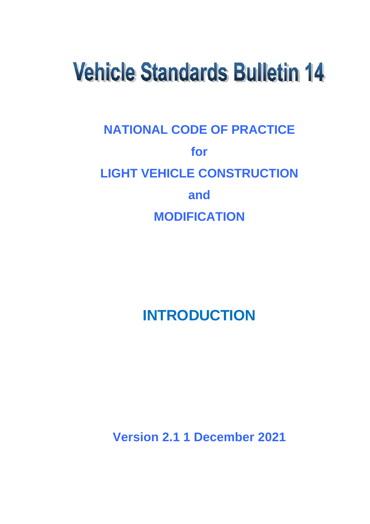# **Vehicle Standards Bulletin 14**

## **NATIONAL CODE OF PRACTICE for LIGHT VEHICLE CONSTRUCTION and MODIFICATION**

**INTRODUCTION**

**Version 2.1 1 December 2021**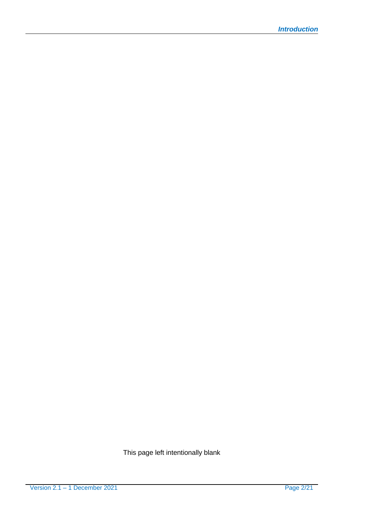This page left intentionally blank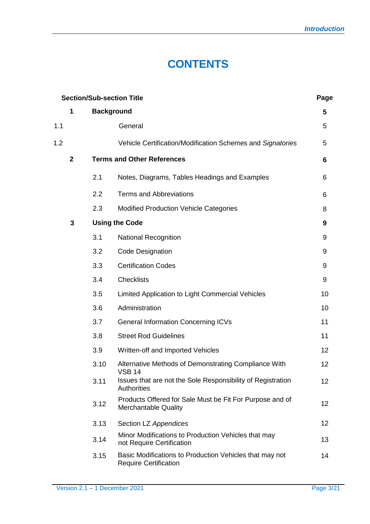## **CONTENTS**

| <b>Section/Sub-section Title</b> |             |                   | Page                                                                                    |    |
|----------------------------------|-------------|-------------------|-----------------------------------------------------------------------------------------|----|
|                                  | 1           | <b>Background</b> |                                                                                         | 5  |
| 1.1                              |             |                   | General                                                                                 | 5  |
| 1.2                              |             |                   | Vehicle Certification/Modification Schemes and Signatories                              | 5  |
|                                  | $\mathbf 2$ |                   | <b>Terms and Other References</b>                                                       | 6  |
|                                  |             | 2.1               | Notes, Diagrams, Tables Headings and Examples                                           | 6  |
|                                  |             | 2.2               | <b>Terms and Abbreviations</b>                                                          | 6  |
|                                  |             | 2.3               | <b>Modified Production Vehicle Categories</b>                                           | 8  |
|                                  | 3           |                   | <b>Using the Code</b>                                                                   | 9  |
|                                  |             | 3.1               | <b>National Recognition</b>                                                             | 9  |
|                                  |             | 3.2               | Code Designation                                                                        | 9  |
|                                  |             | 3.3               | <b>Certification Codes</b>                                                              | 9  |
|                                  |             | 3.4               | <b>Checklists</b>                                                                       | 9  |
|                                  |             | 3.5               | Limited Application to Light Commercial Vehicles                                        | 10 |
|                                  |             | 3.6               | Administration                                                                          | 10 |
|                                  |             | 3.7               | <b>General Information Concerning ICVs</b>                                              | 11 |
|                                  |             | 3.8               | <b>Street Rod Guidelines</b>                                                            | 11 |
|                                  |             | 3.9               | Written-off and Imported Vehicles                                                       | 12 |
|                                  |             | 3.10              | Alternative Methods of Demonstrating Compliance With<br>VSB 14                          | 12 |
|                                  |             | 3.11              | Issues that are not the Sole Responsibility of Registration<br><b>Authorities</b>       | 12 |
|                                  |             | 3.12              | Products Offered for Sale Must be Fit For Purpose and of<br><b>Merchantable Quality</b> | 12 |
|                                  |             | 3.13              | Section LZ Appendices                                                                   | 12 |
|                                  |             | 3.14              | Minor Modifications to Production Vehicles that may<br>not Require Certification        | 13 |
|                                  |             | 3.15              | Basic Modifications to Production Vehicles that may not<br><b>Require Certification</b> | 14 |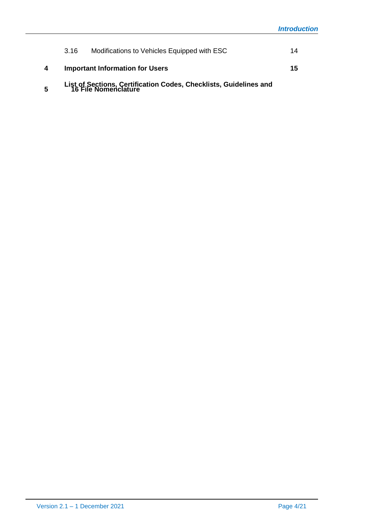|                | 3.16 | Modifications to Vehicles Equipped with ESC                                               | 14 |
|----------------|------|-------------------------------------------------------------------------------------------|----|
| 4              |      | <b>Important Information for Users</b>                                                    | 15 |
| $\overline{5}$ |      | List of Sections, Certification Codes, Checklists, Guidelines and<br>16 File Nomenclature |    |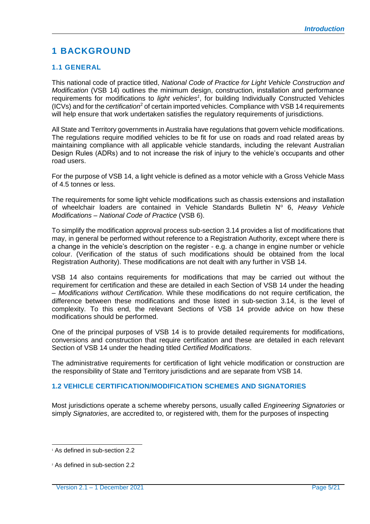## **1 BACKGROUND**

#### **1.1 GENERAL**

This national code of practice titled, *National Code of Practice for Light Vehicle Construction and Modification* (VSB 14) outlines the minimum design, construction, installation and performance requirements for modifications to *light vehicles<sup>1</sup>* , for building Individually Constructed Vehicles (ICVs) and for the *certification*<sup>2</sup> of certain imported vehicles. Compliance with VSB 14 requirements will help ensure that work undertaken satisfies the regulatory requirements of jurisdictions.

All State and Territory governments in Australia have regulations that govern vehicle modifications. The regulations require modified vehicles to be fit for use on roads and road related areas by maintaining compliance with all applicable vehicle standards, including the relevant Australian Design Rules (ADRs) and to not increase the risk of injury to the vehicle's occupants and other road users.

For the purpose of VSB 14, a light vehicle is defined as a motor vehicle with a Gross Vehicle Mass of 4.5 tonnes or less.

The requirements for some light vehicle modifications such as chassis extensions and installation of wheelchair loaders are contained in Vehicle Standards Bulletin N° 6, *Heavy Vehicle Modifications – National Code of Practice* (VSB 6).

To simplify the modification approval process sub-section 3.14 provides a list of modifications that may, in general be performed without reference to a Registration Authority, except where there is a change in the vehicle's description on the register - e.g. a change in engine number or vehicle colour. (Verification of the status of such modifications should be obtained from the local Registration Authority). These modifications are not dealt with any further in VSB 14.

VSB 14 also contains requirements for modifications that may be carried out without the requirement for certification and these are detailed in each Section of VSB 14 under the heading – *Modifications without Certification*. While these modifications do not require certification, the difference between these modifications and those listed in sub-section 3.14, is the level of complexity. To this end, the relevant Sections of VSB 14 provide advice on how these modifications should be performed.

One of the principal purposes of VSB 14 is to provide detailed requirements for modifications, conversions and construction that require certification and these are detailed in each relevant Section of VSB 14 under the heading titled *Certified Modifications*.

The administrative requirements for certification of light vehicle modification or construction are the responsibility of State and Territory jurisdictions and are separate from VSB 14.

#### **1.2 VEHICLE CERTIFICATION/MODIFICATION SCHEMES AND SIGNATORIES**

Most jurisdictions operate a scheme whereby persons, usually called *Engineering Signatories* or simply *Signatories*, are accredited to, or registered with, them for the purposes of inspecting

<sup>1</sup> As defined in sub-section 2.2

<sup>2</sup> As defined in sub-section 2.2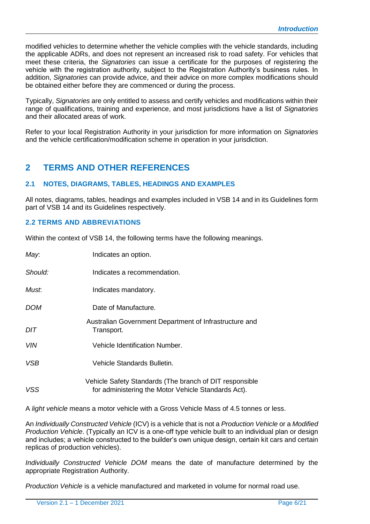modified vehicles to determine whether the vehicle complies with the vehicle standards, including the applicable ADRs, and does not represent an increased risk to road safety. For vehicles that meet these criteria, the *Signatories* can issue a certificate for the purposes of registering the vehicle with the registration authority, subject to the Registration Authority's business rules. In addition, *Signatories* can provide advice, and their advice on more complex modifications should be obtained either before they are commenced or during the process.

Typically, *Signatories* are only entitled to assess and certify vehicles and modifications within their range of qualifications, training and experience, and most jurisdictions have a list of *Signatories*  and their allocated areas of work.

Refer to your local Registration Authority in your jurisdiction for more information on *Signatories*  and the vehicle certification/modification scheme in operation in your jurisdiction.

### **2 TERMS AND OTHER REFERENCES**

#### **2.1 NOTES, DIAGRAMS, TABLES, HEADINGS AND EXAMPLES**

All notes, diagrams, tables, headings and examples included in VSB 14 and in its Guidelines form part of VSB 14 and its Guidelines respectively.

#### **2.2 TERMS AND ABBREVIATIONS**

Within the context of VSB 14, the following terms have the following meanings.

| May.       | Indicates an option.                                                                                           |
|------------|----------------------------------------------------------------------------------------------------------------|
| Should:    | Indicates a recommendation.                                                                                    |
| Must       | Indicates mandatory.                                                                                           |
| <b>DOM</b> | Date of Manufacture.                                                                                           |
| DIT        | Australian Government Department of Infrastructure and<br>Transport.                                           |
| <b>VIN</b> | Vehicle Identification Number.                                                                                 |
| <i>VSB</i> | Vehicle Standards Bulletin.                                                                                    |
| VSS        | Vehicle Safety Standards (The branch of DIT responsible<br>for administering the Motor Vehicle Standards Act). |

A *light vehicle* means a motor vehicle with a Gross Vehicle Mass of 4.5 tonnes or less.

An *Individually Constructed Vehicle* (ICV) is a vehicle that is not a *Production Vehicle* or a *Modified Production Vehicle*. (Typically an ICV is a one-off type vehicle built to an individual plan or design and includes; a vehicle constructed to the builder's own unique design, certain kit cars and certain replicas of production vehicles).

*Individually Constructed Vehicle DOM* means the date of manufacture determined by the appropriate Registration Authority.

*Production Vehicle* is a vehicle manufactured and marketed in volume for normal road use.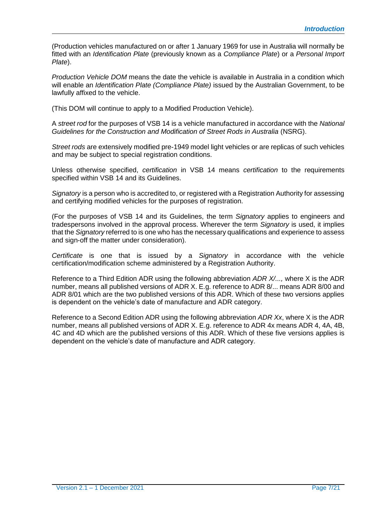(Production vehicles manufactured on or after 1 January 1969 for use in Australia will normally be fitted with an *Identification Plate* (previously known as a *Compliance Plate*) or a *Personal Import Plate*).

*Production Vehicle DOM* means the date the vehicle is available in Australia in a condition which will enable an *Identification Plate (Compliance Plate)* issued by the Australian Government, to be lawfully affixed to the vehicle.

(This DOM will continue to apply to a Modified Production Vehicle).

A *street rod* for the purposes of VSB 14 is a vehicle manufactured in accordance with the *National Guidelines for the Construction and Modification of Street Rods in Australia* (NSRG).

*Street rods* are extensively modified pre-1949 model light vehicles or are replicas of such vehicles and may be subject to special registration conditions.

Unless otherwise specified, *certification* in VSB 14 means *certification* to the requirements specified within VSB 14 and its Guidelines.

*Signatory* is a person who is accredited to, or registered with a Registration Authority for assessing and certifying modified vehicles for the purposes of registration.

(For the purposes of VSB 14 and its Guidelines, the term *Signatory* applies to engineers and tradespersons involved in the approval process. Wherever the term *Signatory* is used, it implies that the *Signatory* referred to is one who has the necessary qualifications and experience to assess and sign-off the matter under consideration).

*Certificate* is one that is issued by a *Signatory* in accordance with the vehicle certification/modification scheme administered by a Registration Authority.

Reference to a Third Edition ADR using the following abbreviation *ADR X/...,* where X is the ADR number, means all published versions of ADR X. E.g. reference to ADR 8/... means ADR 8/00 and ADR 8/01 which are the two published versions of this ADR. Which of these two versions applies is dependent on the vehicle's date of manufacture and ADR category.

Reference to a Second Edition ADR using the following abbreviation *ADR Xx*, where X is the ADR number, means all published versions of ADR X. E.g. reference to ADR 4x means ADR 4, 4A, 4B, 4C and 4D which are the published versions of this ADR. Which of these five versions applies is dependent on the vehicle's date of manufacture and ADR category.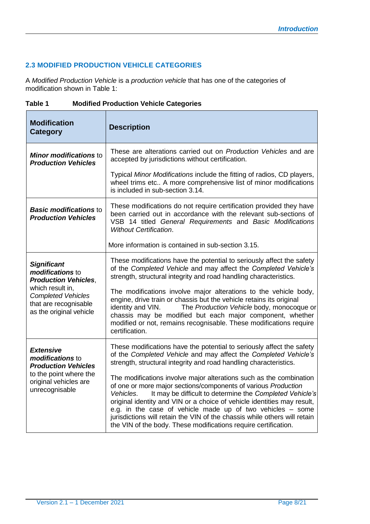#### **2.3 MODIFIED PRODUCTION VEHICLE CATEGORIES**

A *Modified Production Vehicle* is a *production vehicle* that has one of the categories of modification shown in Table 1:

| <b>Modification</b><br>Category                                                                   | <b>Description</b>                                                                                                                                                                                                                                                                                                                                                                                                                                                                                        |
|---------------------------------------------------------------------------------------------------|-----------------------------------------------------------------------------------------------------------------------------------------------------------------------------------------------------------------------------------------------------------------------------------------------------------------------------------------------------------------------------------------------------------------------------------------------------------------------------------------------------------|
| <b>Minor modifications to</b><br><b>Production Vehicles</b>                                       | These are alterations carried out on Production Vehicles and are<br>accepted by jurisdictions without certification.                                                                                                                                                                                                                                                                                                                                                                                      |
|                                                                                                   | Typical Minor Modifications include the fitting of radios, CD players,<br>wheel trims etc A more comprehensive list of minor modifications<br>is included in sub-section 3.14.                                                                                                                                                                                                                                                                                                                            |
| <b>Basic modifications to</b><br><b>Production Vehicles</b>                                       | These modifications do not require certification provided they have<br>been carried out in accordance with the relevant sub-sections of<br>VSB 14 titled General Requirements and Basic Modifications<br><b>Without Certification.</b>                                                                                                                                                                                                                                                                    |
|                                                                                                   | More information is contained in sub-section 3.15.                                                                                                                                                                                                                                                                                                                                                                                                                                                        |
| <b>Significant</b><br>modifications to<br><b>Production Vehicles,</b>                             | These modifications have the potential to seriously affect the safety<br>of the Completed Vehicle and may affect the Completed Vehicle's<br>strength, structural integrity and road handling characteristics.                                                                                                                                                                                                                                                                                             |
| which result in,<br><b>Completed Vehicles</b><br>that are recognisable<br>as the original vehicle | The modifications involve major alterations to the vehicle body,<br>engine, drive train or chassis but the vehicle retains its original<br>identity and VIN.<br>The Production Vehicle body, monocoque or<br>chassis may be modified but each major component, whether<br>modified or not, remains recognisable. These modifications require<br>certification.                                                                                                                                            |
| <b>Extensive</b><br><i>modifications</i> to<br><b>Production Vehicles</b>                         | These modifications have the potential to seriously affect the safety<br>of the Completed Vehicle and may affect the Completed Vehicle's<br>strength, structural integrity and road handling characteristics.                                                                                                                                                                                                                                                                                             |
| to the point where the<br>original vehicles are<br>unrecognisable                                 | The modifications involve major alterations such as the combination<br>of one or more major sections/components of various Production<br>It may be difficult to determine the Completed Vehicle's<br>Vehicles.<br>original identity and VIN or a choice of vehicle identities may result,<br>e.g. in the case of vehicle made up of two vehicles $-$ some<br>jurisdictions will retain the VIN of the chassis while others will retain<br>the VIN of the body. These modifications require certification. |

**Table 1 Modified Production Vehicle Categories**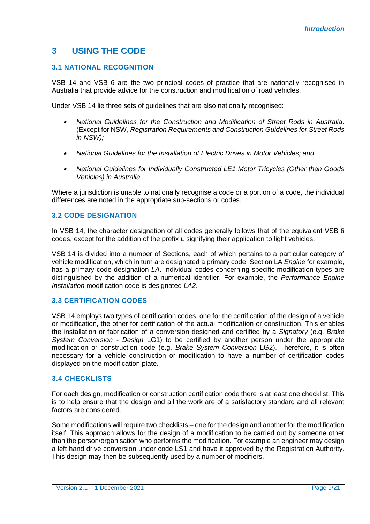## **3 USING THE CODE**

#### **3.1 NATIONAL RECOGNITION**

VSB 14 and VSB 6 are the two principal codes of practice that are nationally recognised in Australia that provide advice for the construction and modification of road vehicles.

Under VSB 14 lie three sets of guidelines that are also nationally recognised:

- . *National Guidelines for the Construction and Modification of Street Rods in Australia*. (Except for NSW, *Registration Requirements and Construction Guidelines for Street Rods in NSW);*
- *National Guidelines for the Installation of Electric Drives in Motor Vehicles; and*
- . *National Guidelines for Individually Constructed LE1 Motor Tricycles (Other than Goods Vehicles) in Australia.*

Where a jurisdiction is unable to nationally recognise a code or a portion of a code, the individual differences are noted in the appropriate sub-sections or codes.

#### **3.2 CODE DESIGNATION**

In VSB 14, the character designation of all codes generally follows that of the equivalent VSB 6 codes, except for the addition of the prefix *L* signifying their application to light vehicles.

VSB 14 is divided into a number of Sections, each of which pertains to a particular category of vehicle modification, which in turn are designated a primary code. Section LA *Engine* for example, has a primary code designation *LA*. Individual codes concerning specific modification types are distinguished by the addition of a numerical identifier. For example, the *Performance Engine Installation* modification code is designated *LA2*.

#### **3.3 CERTIFICATION CODES**

VSB 14 employs two types of certification codes, one for the certification of the design of a vehicle or modification, the other for certification of the actual modification or construction. This enables the installation or fabrication of a conversion designed and certified by a *Signatory* (e.g. *Brake System Conversion - Design* LG1) to be certified by another person under the appropriate modification or construction code (e.g. *Brake System Conversion* LG2). Therefore, it is often necessary for a vehicle construction or modification to have a number of certification codes displayed on the modification plate.

#### **3.4 CHECKLISTS**

For each design, modification or construction certification code there is at least one checklist. This is to help ensure that the design and all the work are of a satisfactory standard and all relevant factors are considered.

Some modifications will require two checklists – one for the design and another for the modification itself. This approach allows for the design of a modification to be carried out by someone other than the person/organisation who performs the modification. For example an engineer may design a left hand drive conversion under code LS1 and have it approved by the Registration Authority. This design may then be subsequently used by a number of modifiers.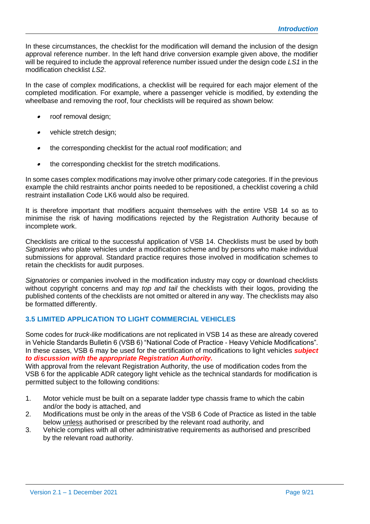In these circumstances, the checklist for the modification will demand the inclusion of the design approval reference number. In the left hand drive conversion example given above, the modifier will be required to include the approval reference number issued under the design code *LS1* in the modification checklist *LS2*.

In the case of complex modifications, a checklist will be required for each major element of the completed modification. For example, where a passenger vehicle is modified, by extending the wheelbase and removing the roof, four checklists will be required as shown below:

- . roof removal design;
- vehicle stretch design;
- . the corresponding checklist for the actual roof modification; and
- . the corresponding checklist for the stretch modifications.

In some cases complex modifications may involve other primary code categories. If in the previous example the child restraints anchor points needed to be repositioned, a checklist covering a child restraint installation Code LK6 would also be required.

It is therefore important that modifiers acquaint themselves with the entire VSB 14 so as to minimise the risk of having modifications rejected by the Registration Authority because of incomplete work.

Checklists are critical to the successful application of VSB 14. Checklists must be used by both *Signatories* who plate vehicles under a modification scheme and by persons who make individual submissions for approval. Standard practice requires those involved in modification schemes to retain the checklists for audit purposes.

*Signatories* or companies involved in the modification industry may copy or download checklists without copyright concerns and may *top and tail* the checklists with their logos, providing the published contents of the checklists are not omitted or altered in any way. The checklists may also be formatted differently.

#### **3.5 LIMITED APPLICATION TO LIGHT COMMERCIAL VEHICLES**

Some codes for *truck-like* modifications are not replicated in VSB 14 as these are already covered in Vehicle Standards Bulletin 6 (VSB 6) "National Code of Practice - Heavy Vehicle Modifications". In these cases, VSB 6 may be used for the certification of modifications to light vehicles *subject to discussion with the appropriate Registration Authority.*

With approval from the relevant Registration Authority, the use of modification codes from the VSB 6 for the applicable ADR category light vehicle as the technical standards for modification is permitted subject to the following conditions:

- 1. Motor vehicle must be built on a separate ladder type chassis frame to which the cabin and/or the body is attached, and
- 2. Modifications must be only in the areas of the VSB 6 Code of Practice as listed in the table below unless authorised or prescribed by the relevant road authority, and
- 3. Vehicle complies with all other administrative requirements as authorised and prescribed by the relevant road authority.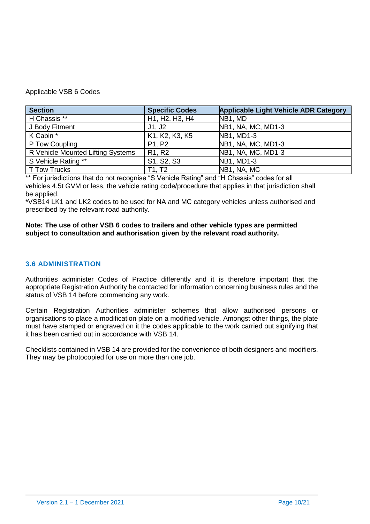#### Applicable VSB 6 Codes

| <b>Section</b>                    | <b>Specific Codes</b>                                             | <b>Applicable Light Vehicle ADR Category</b> |
|-----------------------------------|-------------------------------------------------------------------|----------------------------------------------|
| H Chassis **                      | H <sub>1</sub> , H <sub>2</sub> , H <sub>3</sub> , H <sub>4</sub> | NB1, MD                                      |
| J Body Fitment                    | J1, J2                                                            | NB1, NA, MC, MD1-3                           |
| K Cabin *                         | K1, K2, K3, K5                                                    | NB1, MD1-3                                   |
| P Tow Coupling                    | P1, P2                                                            | NB1, NA, MC, MD1-3                           |
| R Vehicle Mounted Lifting Systems | R <sub>1</sub> , R <sub>2</sub>                                   | NB1, NA, MC, MD1-3                           |
| S Vehicle Rating **               | S1, S2, S3                                                        | <b>NB1, MD1-3</b>                            |
| <b>T Tow Trucks</b>               | T1, T2                                                            | NB1, NA, MC                                  |

\*\* For jurisdictions that do not recognise "S Vehicle Rating" and "H Chassis" codes for all vehicles 4.5t GVM or less, the vehicle rating code/procedure that applies in that jurisdiction shall be applied.

\*VSB14 LK1 and LK2 codes to be used for NA and MC category vehicles unless authorised and prescribed by the relevant road authority.

#### **Note: The use of other VSB 6 codes to trailers and other vehicle types are permitted subject to consultation and authorisation given by the relevant road authority.**

#### **3.6 ADMINISTRATION**

Authorities administer Codes of Practice differently and it is therefore important that the appropriate Registration Authority be contacted for information concerning business rules and the status of VSB 14 before commencing any work.

Certain Registration Authorities administer schemes that allow authorised persons or organisations to place a modification plate on a modified vehicle. Amongst other things, the plate must have stamped or engraved on it the codes applicable to the work carried out signifying that it has been carried out in accordance with VSB 14.

Checklists contained in VSB 14 are provided for the convenience of both designers and modifiers. They may be photocopied for use on more than one job.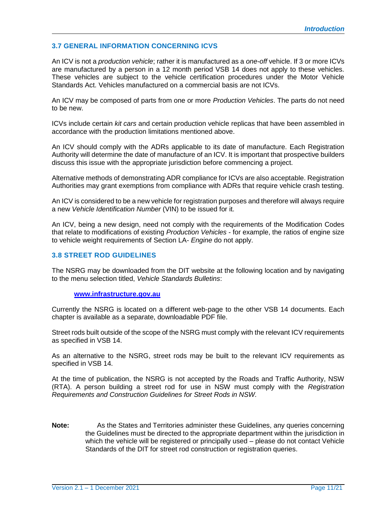#### **3.7 GENERAL INFORMATION CONCERNING ICVS**

An ICV is not a *production vehicle*; rather it is manufactured as a *one-off* vehicle. If 3 or more ICVs are manufactured by a person in a 12 month period VSB 14 does not apply to these vehicles. These vehicles are subject to the vehicle certification procedures under the Motor Vehicle Standards Act. Vehicles manufactured on a commercial basis are not ICVs.

An ICV may be composed of parts from one or more *Production Vehicles*. The parts do not need to be new.

ICVs include certain *kit cars* and certain production vehicle replicas that have been assembled in accordance with the production limitations mentioned above.

An ICV should comply with the ADRs applicable to its date of manufacture. Each Registration Authority will determine the date of manufacture of an ICV. It is important that prospective builders discuss this issue with the appropriate jurisdiction before commencing a project.

Alternative methods of demonstrating ADR compliance for ICVs are also acceptable. Registration Authorities may grant exemptions from compliance with ADRs that require vehicle crash testing.

An ICV is considered to be a new vehicle for registration purposes and therefore will always require a new *Vehicle Identification Number* (VIN) to be issued for it.

An ICV, being a new design, need not comply with the requirements of the Modification Codes that relate to modifications of existing *Production Vehicles* - for example, the ratios of engine size to vehicle weight requirements of Section LA- *Engine* do not apply.

#### **3.8 STREET ROD GUIDELINES**

The NSRG may be downloaded from the DIT website at the following location and by navigating to the menu selection titled, *Vehicle Standards Bulletins*:

#### **[www.infrastructure.gov.au](http://www.infrastructure.gov.au/)**

Currently the NSRG is located on a different web-page to the other VSB 14 documents. Each chapter is available as a separate, downloadable PDF file.

Street rods built outside of the scope of the NSRG must comply with the relevant ICV requirements as specified in VSB 14.

As an alternative to the NSRG, street rods may be built to the relevant ICV requirements as specified in VSB 14.

At the time of publication, the NSRG is not accepted by the Roads and Traffic Authority, NSW (RTA). A person building a street rod for use in NSW must comply with the *Registration Requirements and Construction Guidelines for Street Rods in NSW.*

**Note:** As the States and Territories administer these Guidelines, any queries concerning the Guidelines must be directed to the appropriate department within the jurisdiction in which the vehicle will be registered or principally used – please do not contact Vehicle Standards of the DIT for street rod construction or registration queries.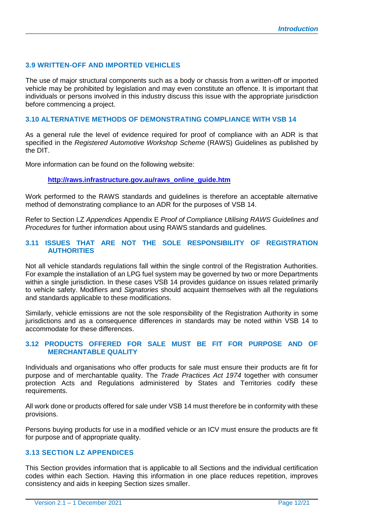#### **3.9 WRITTEN-OFF AND IMPORTED VEHICLES**

The use of major structural components such as a body or chassis from a written-off or imported vehicle may be prohibited by legislation and may even constitute an offence. It is important that individuals or persons involved in this industry discuss this issue with the appropriate jurisdiction before commencing a project.

#### **3.10 ALTERNATIVE METHODS OF DEMONSTRATING COMPLIANCE WITH VSB 14**

As a general rule the level of evidence required for proof of compliance with an ADR is that specified in the *Registered Automotive Workshop Scheme* (RAWS) Guidelines as published by the DIT.

More information can be found on the following website:

#### **[http://raws.infrastructure.gov.au/raws\\_online\\_guide.htm](http://raws.infrastructure.gov.au/raws_online_guide.htm)**

Work performed to the RAWS standards and guidelines is therefore an acceptable alternative method of demonstrating compliance to an ADR for the purposes of VSB 14.

Refer to Section LZ *Appendices* Appendix E *Proof of Compliance Utilising RAWS Guidelines and Procedures* for further information about using RAWS standards and guidelines.

#### **3.11 ISSUES THAT ARE NOT THE SOLE RESPONSIBILITY OF REGISTRATION AUTHORITIES**

Not all vehicle standards regulations fall within the single control of the Registration Authorities. For example the installation of an LPG fuel system may be governed by two or more Departments within a single jurisdiction. In these cases VSB 14 provides guidance on issues related primarily to vehicle safety. Modifiers and *Signatories* should acquaint themselves with all the regulations and standards applicable to these modifications.

Similarly, vehicle emissions are not the sole responsibility of the Registration Authority in some jurisdictions and as a consequence differences in standards may be noted within VSB 14 to accommodate for these differences.

#### **3.12 PRODUCTS OFFERED FOR SALE MUST BE FIT FOR PURPOSE AND OF MERCHANTABLE QUALITY**

Individuals and organisations who offer products for sale must ensure their products are fit for purpose and of merchantable quality. The *Trade Practices Act 1974* together with consumer protection Acts and Regulations administered by States and Territories codify these requirements.

All work done or products offered for sale under VSB 14 must therefore be in conformity with these provisions.

Persons buying products for use in a modified vehicle or an ICV must ensure the products are fit for purpose and of appropriate quality.

#### **3.13 SECTION LZ APPENDICES**

This Section provides information that is applicable to all Sections and the individual certification codes within each Section. Having this information in one place reduces repetition, improves consistency and aids in keeping Section sizes smaller.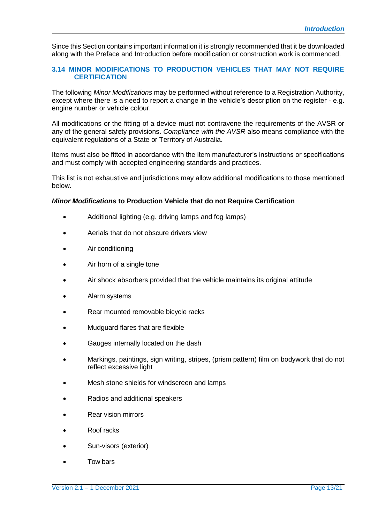Since this Section contains important information it is strongly recommended that it be downloaded along with the Preface and Introduction before modification or construction work is commenced.

#### **3.14 MINOR MODIFICATIONS TO PRODUCTION VEHICLES THAT MAY NOT REQUIRE CERTIFICATION**

The following *Minor Modifications* may be performed without reference to a Registration Authority, except where there is a need to report a change in the vehicle's description on the register - e.g. engine number or vehicle colour.

All modifications or the fitting of a device must not contravene the requirements of the AVSR or any of the general safety provisions. *Compliance with the AVSR* also means compliance with the equivalent regulations of a State or Territory of Australia.

Items must also be fitted in accordance with the item manufacturer's instructions or specifications and must comply with accepted engineering standards and practices.

This list is not exhaustive and jurisdictions may allow additional modifications to those mentioned below.

#### *Minor Modifications* **to Production Vehicle that do not Require Certification**

- Additional lighting (e.g. driving lamps and fog lamps)
- Aerials that do not obscure drivers view
- Air conditioning
- Air horn of a single tone
- Air shock absorbers provided that the vehicle maintains its original attitude
- Alarm systems
- Rear mounted removable bicycle racks
- Mudguard flares that are flexible
- Gauges internally located on the dash
- Markings, paintings, sign writing, stripes, (prism pattern) film on bodywork that do not reflect excessive light
- Mesh stone shields for windscreen and lamps
- Radios and additional speakers
- Rear vision mirrors
- Roof racks
- Sun-visors (exterior)
- Tow bars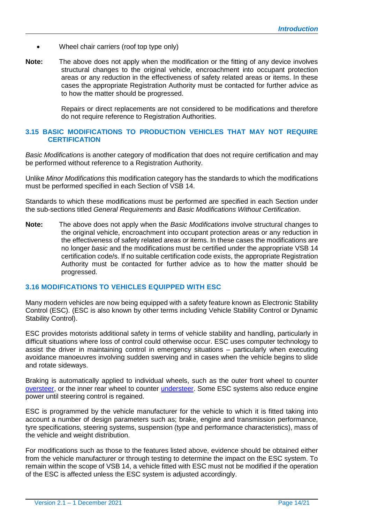- Wheel chair carriers (roof top type only)
- **Note:** The above does not apply when the modification or the fitting of any device involves structural changes to the original vehicle, encroachment into occupant protection areas or any reduction in the effectiveness of safety related areas or items. In these cases the appropriate Registration Authority must be contacted for further advice as to how the matter should be progressed.

Repairs or direct replacements are not considered to be modifications and therefore do not require reference to Registration Authorities.

#### **3.15 BASIC MODIFICATIONS TO PRODUCTION VEHICLES THAT MAY NOT REQUIRE CERTIFICATION**

*Basic Modifications* is another category of modification that does not require certification and may be performed without reference to a Registration Authority.

Unlike *Minor Modifications* this modification category has the standards to which the modifications must be performed specified in each Section of VSB 14.

Standards to which these modifications must be performed are specified in each Section under the sub-sections titled *General Requirements* and *Basic Modifications Without Certification*.

**Note:** The above does not apply when the *Basic Modifications* involve structural changes to the original vehicle, encroachment into occupant protection areas or any reduction in the effectiveness of safety related areas or items. In these cases the modifications are no longer *basic* and the modifications must be certified under the appropriate VSB 14 certification code/s. If no suitable certification code exists, the appropriate Registration Authority must be contacted for further advice as to how the matter should be progressed.

#### **3.16 MODIFICATIONS TO VEHICLES EQUIPPED WITH ESC**

Many modern vehicles are now being equipped with a safety feature known as Electronic Stability Control (ESC). (ESC is also known by other terms including Vehicle Stability Control or Dynamic Stability Control).

ESC provides motorists additional safety in terms of vehicle stability and handling, particularly in difficult situations where loss of control could otherwise occur. ESC uses computer technology to assist the driver in maintaining control in emergency situations – particularly when executing avoidance manoeuvres involving sudden swerving and in cases when the vehicle begins to slide and rotate sideways.

Braking is automatically applied to individual wheels, such as the outer front wheel to counter [oversteer,](http://en.wikipedia.org/wiki/Oversteer) or the inner rear wheel to counter *understeer*. Some ESC systems also reduce engine power until steering control is regained.

ESC is programmed by the vehicle manufacturer for the vehicle to which it is fitted taking into account a number of design parameters such as; brake, engine and transmission performance, tyre specifications, steering systems, suspension (type and performance characteristics), mass of the vehicle and weight distribution.

For modifications such as those to the features listed above, evidence should be obtained either from the vehicle manufacturer or through testing to determine the impact on the ESC system. To remain within the scope of VSB 14, a vehicle fitted with ESC must not be modified if the operation of the ESC is affected unless the ESC system is adjusted accordingly.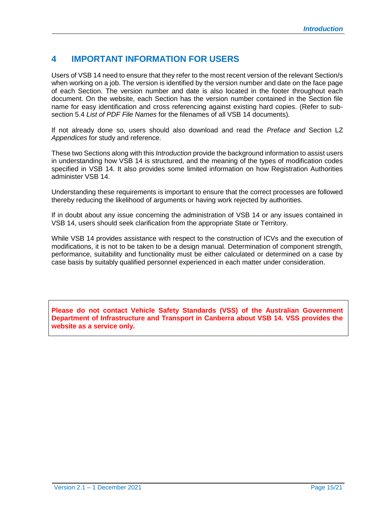## **4 IMPORTANT INFORMATION FOR USERS**

Users of VSB 14 need to ensure that they refer to the most recent version of the relevant Section/s when working on a job. The version is identified by the version number and date on the face page of each Section. The version number and date is also located in the footer throughout each document. On the website, each Section has the version number contained in the Section file name for easy identification and cross referencing against existing hard copies. (Refer to subsection 5.4 *List of PDF File Names* for the filenames of all VSB 14 documents)*.*

If not already done so, users should also download and read the *Preface and* Section LZ *Appendices* for study and reference.

These two Sections along with this *Introduction* provide the background information to assist users in understanding how VSB 14 is structured, and the meaning of the types of modification codes specified in VSB 14. It also provides some limited information on how Registration Authorities administer VSB 14.

Understanding these requirements is important to ensure that the correct processes are followed thereby reducing the likelihood of arguments or having work rejected by authorities.

If in doubt about any issue concerning the administration of VSB 14 or any issues contained in VSB 14, users should seek clarification from the appropriate State or Territory.

While VSB 14 provides assistance with respect to the construction of ICVs and the execution of modifications, it is not to be taken to be a design manual. Determination of component strength, performance, suitability and functionality must be either calculated or determined on a case by case basis by suitably qualified personnel experienced in each matter under consideration.

**Please do not contact Vehicle Safety Standards (VSS) of the Australian Government Department of Infrastructure and Transport in Canberra about VSB 14. VSS provides the website as a service only.**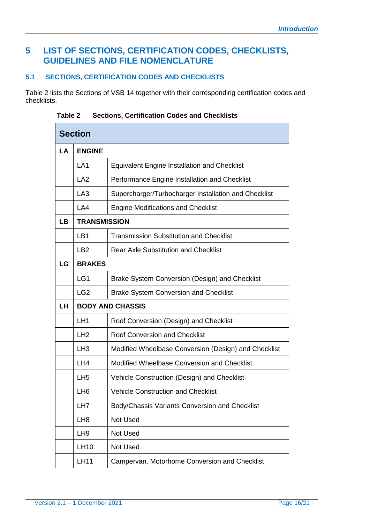## **5 LIST OF SECTIONS, CERTIFICATION CODES, CHECKLISTS, GUIDELINES AND FILE NOMENCLATURE**

#### **5.1 SECTIONS, CERTIFICATION CODES AND CHECKLISTS**

Table 2 lists the Sections of VSB 14 together with their corresponding certification codes and checklists.

| <b>Section</b> |                         |                                                      |  |
|----------------|-------------------------|------------------------------------------------------|--|
| LA             | <b>ENGINE</b>           |                                                      |  |
|                | LA <sub>1</sub>         | <b>Equivalent Engine Installation and Checklist</b>  |  |
|                | LA2                     | Performance Engine Installation and Checklist        |  |
|                | LA <sub>3</sub>         | Supercharger/Turbocharger Installation and Checklist |  |
|                | LA4                     | <b>Engine Modifications and Checklist</b>            |  |
| <b>LB</b>      | <b>TRANSMISSION</b>     |                                                      |  |
|                | LB <sub>1</sub>         | <b>Transmission Substitution and Checklist</b>       |  |
|                | LB2                     | <b>Rear Axle Substitution and Checklist</b>          |  |
| LG             | <b>BRAKES</b>           |                                                      |  |
|                | LG1                     | Brake System Conversion (Design) and Checklist       |  |
|                | LG <sub>2</sub>         | <b>Brake System Conversion and Checklist</b>         |  |
| <b>LH</b>      | <b>BODY AND CHASSIS</b> |                                                      |  |
|                | LH <sub>1</sub>         | Roof Conversion (Design) and Checklist               |  |
|                | LH2                     | <b>Roof Conversion and Checklist</b>                 |  |
|                | LH <sub>3</sub>         | Modified Wheelbase Conversion (Design) and Checklist |  |
|                | LH4                     | Modified Wheelbase Conversion and Checklist          |  |
|                | LH <sub>5</sub>         | Vehicle Construction (Design) and Checklist          |  |
|                | LH <sub>6</sub>         | <b>Vehicle Construction and Checklist</b>            |  |
|                | LH7                     | Body/Chassis Variants Conversion and Checklist       |  |
|                | LH <sub>8</sub>         | Not Used                                             |  |
|                | LH <sub>9</sub>         | Not Used                                             |  |
|                | <b>LH10</b>             | Not Used                                             |  |
|                | <b>LH11</b>             | Campervan, Motorhome Conversion and Checklist        |  |

**Table 2 Sections, Certification Codes and Checklists**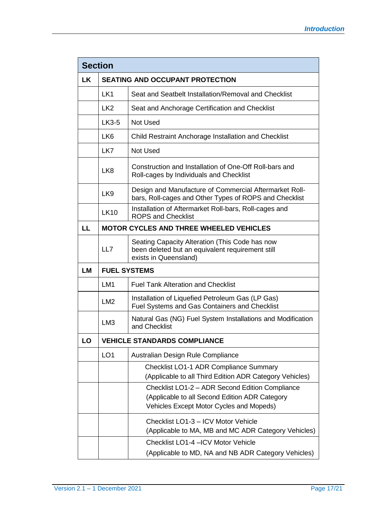| <b>Section</b> |                                                |                                                                                                                                               |  |
|----------------|------------------------------------------------|-----------------------------------------------------------------------------------------------------------------------------------------------|--|
| <b>LK</b>      | <b>SEATING AND OCCUPANT PROTECTION</b>         |                                                                                                                                               |  |
|                | LK <sub>1</sub>                                | Seat and Seatbelt Installation/Removal and Checklist                                                                                          |  |
|                | LK <sub>2</sub>                                | Seat and Anchorage Certification and Checklist                                                                                                |  |
|                | <b>LK3-5</b>                                   | <b>Not Used</b>                                                                                                                               |  |
|                | LK <sub>6</sub>                                | Child Restraint Anchorage Installation and Checklist                                                                                          |  |
|                | LK7                                            | <b>Not Used</b>                                                                                                                               |  |
|                | LK <sub>8</sub>                                | Construction and Installation of One-Off Roll-bars and<br>Roll-cages by Individuals and Checklist                                             |  |
|                | LK <sub>9</sub>                                | Design and Manufacture of Commercial Aftermarket Roll-<br>bars, Roll-cages and Other Types of ROPS and Checklist                              |  |
|                | <b>LK10</b>                                    | Installation of Aftermarket Roll-bars, Roll-cages and<br><b>ROPS and Checklist</b>                                                            |  |
| LL             | <b>MOTOR CYCLES AND THREE WHEELED VEHICLES</b> |                                                                                                                                               |  |
|                | LL7                                            | Seating Capacity Alteration (This Code has now<br>been deleted but an equivalent requirement still<br>exists in Queensland)                   |  |
| LМ             |                                                | <b>FUEL SYSTEMS</b>                                                                                                                           |  |
|                | LM <sub>1</sub>                                | <b>Fuel Tank Alteration and Checklist</b>                                                                                                     |  |
|                | LM <sub>2</sub>                                | Installation of Liquefied Petroleum Gas (LP Gas)<br>Fuel Systems and Gas Containers and Checklist                                             |  |
|                | LM <sub>3</sub>                                | Natural Gas (NG) Fuel System Installations and Modification<br>and Checklist                                                                  |  |
| LO             | <b>VEHICLE STANDARDS COMPLIANCE</b>            |                                                                                                                                               |  |
|                | LO <sub>1</sub>                                | Australian Design Rule Compliance                                                                                                             |  |
|                |                                                | <b>Checklist LO1-1 ADR Compliance Summary</b><br>(Applicable to all Third Edition ADR Category Vehicles)                                      |  |
|                |                                                | Checklist LO1-2 - ADR Second Edition Compliance<br>(Applicable to all Second Edition ADR Category<br>Vehicles Except Motor Cycles and Mopeds) |  |
|                |                                                | Checklist LO1-3 - ICV Motor Vehicle<br>(Applicable to MA, MB and MC ADR Category Vehicles)                                                    |  |
|                |                                                | Checklist LO1-4 - ICV Motor Vehicle<br>(Applicable to MD, NA and NB ADR Category Vehicles)                                                    |  |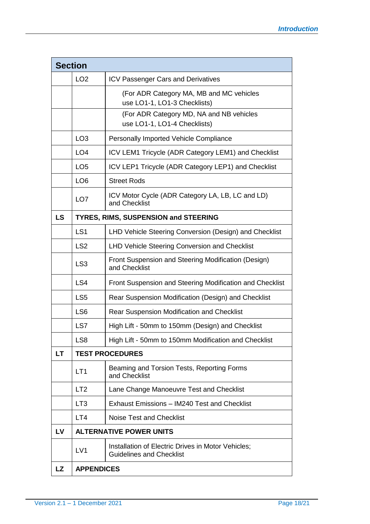| <b>Section</b> |                        |                                                                                       |
|----------------|------------------------|---------------------------------------------------------------------------------------|
|                | LO <sub>2</sub>        | <b>ICV Passenger Cars and Derivatives</b>                                             |
|                |                        | (For ADR Category MA, MB and MC vehicles<br>use LO1-1, LO1-3 Checklists)              |
|                |                        | (For ADR Category MD, NA and NB vehicles<br>use LO1-1, LO1-4 Checklists)              |
|                | LO <sub>3</sub>        | Personally Imported Vehicle Compliance                                                |
|                | LO <sub>4</sub>        | ICV LEM1 Tricycle (ADR Category LEM1) and Checklist                                   |
|                | LO <sub>5</sub>        | ICV LEP1 Tricycle (ADR Category LEP1) and Checklist                                   |
|                | LO <sub>6</sub>        | <b>Street Rods</b>                                                                    |
|                | LO <sub>7</sub>        | ICV Motor Cycle (ADR Category LA, LB, LC and LD)<br>and Checklist                     |
| <b>LS</b>      |                        | TYRES, RIMS, SUSPENSION and STEERING                                                  |
|                | LS <sub>1</sub>        | LHD Vehicle Steering Conversion (Design) and Checklist                                |
|                | LS <sub>2</sub>        | <b>LHD Vehicle Steering Conversion and Checklist</b>                                  |
|                | LS <sub>3</sub>        | Front Suspension and Steering Modification (Design)<br>and Checklist                  |
|                | LS4                    | Front Suspension and Steering Modification and Checklist                              |
|                | LS <sub>5</sub>        | Rear Suspension Modification (Design) and Checklist                                   |
|                | LS <sub>6</sub>        | Rear Suspension Modification and Checklist                                            |
|                | LS7                    | High Lift - 50mm to 150mm (Design) and Checklist                                      |
|                | LS <sub>8</sub>        | High Lift - 50mm to 150mm Modification and Checklist                                  |
| <b>LT</b>      | <b>TEST PROCEDURES</b> |                                                                                       |
|                | LT <sub>1</sub>        | Beaming and Torsion Tests, Reporting Forms<br>and Checklist                           |
|                | LT <sub>2</sub>        | Lane Change Manoeuvre Test and Checklist                                              |
|                | LT <sub>3</sub>        | Exhaust Emissions - IM240 Test and Checklist                                          |
|                | LT4                    | <b>Noise Test and Checklist</b>                                                       |
| <b>LV</b>      |                        | <b>ALTERNATIVE POWER UNITS</b>                                                        |
|                | LV1                    | Installation of Electric Drives in Motor Vehicles;<br><b>Guidelines and Checklist</b> |
| <b>LZ</b>      | <b>APPENDICES</b>      |                                                                                       |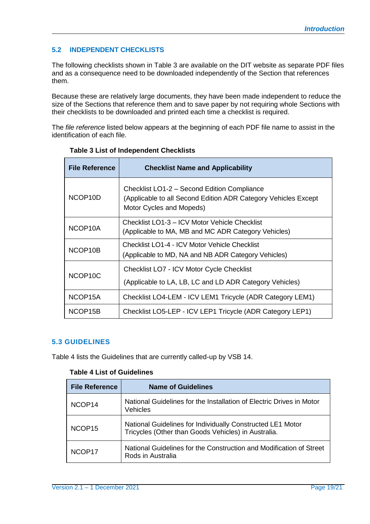#### **5.2 INDEPENDENT CHECKLISTS**

The following checklists shown in Table 3 are available on the DIT website as separate PDF files and as a consequence need to be downloaded independently of the Section that references them.

Because these are relatively large documents, they have been made independent to reduce the size of the Sections that reference them and to save paper by not requiring whole Sections with their checklists to be downloaded and printed each time a checklist is required.

The *file reference* listed below appears at the beginning of each PDF file name to assist in the identification of each file.

| <b>File Reference</b> | <b>Checklist Name and Applicability</b>                                                                                                   |
|-----------------------|-------------------------------------------------------------------------------------------------------------------------------------------|
| NCOP <sub>10</sub> D  | Checklist LO1-2 - Second Edition Compliance<br>(Applicable to all Second Edition ADR Category Vehicles Except<br>Motor Cycles and Mopeds) |
| NCOP <sub>10</sub> A  | Checklist LO1-3 – ICV Motor Vehicle Checklist<br>(Applicable to MA, MB and MC ADR Category Vehicles)                                      |
| NCOP <sub>10</sub> B  | Checklist LO1-4 - ICV Motor Vehicle Checklist<br>(Applicable to MD, NA and NB ADR Category Vehicles)                                      |
| NCOP10C               | <b>Checklist LO7 - ICV Motor Cycle Checklist</b><br>(Applicable to LA, LB, LC and LD ADR Category Vehicles)                               |
| NCOP15A               | Checklist LO4-LEM - ICV LEM1 Tricycle (ADR Category LEM1)                                                                                 |
| NCOP <sub>15</sub> B  | Checklist LO5-LEP - ICV LEP1 Tricycle (ADR Category LEP1)                                                                                 |

#### **Table 3 List of Independent Checklists**

#### **5.3 GUIDELINES**

Table 4 lists the Guidelines that are currently called-up by VSB 14.

#### **Table 4 List of Guidelines**

| <b>File Reference</b> | <b>Name of Guidelines</b>                                                                                         |
|-----------------------|-------------------------------------------------------------------------------------------------------------------|
| NCOP <sub>14</sub>    | National Guidelines for the Installation of Electric Drives in Motor<br>Vehicles                                  |
| NCOP <sub>15</sub>    | National Guidelines for Individually Constructed LE1 Motor<br>Tricycles (Other than Goods Vehicles) in Australia. |
| NCOP <sub>17</sub>    | National Guidelines for the Construction and Modification of Street<br>Rods in Australia                          |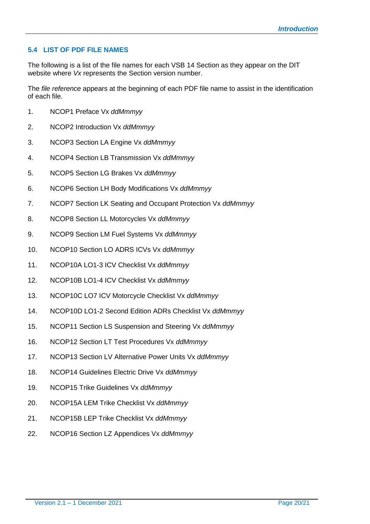#### **5.4 LIST OF PDF FILE NAMES**

The following is a list of the file names for each VSB 14 Section as they appear on the DIT website where *Vx* represents the Section version number.

The *file reference* appears at the beginning of each PDF file name to assist in the identification of each file.

- 1. NCOP1 Preface Vx *ddMmmyy*
- 2. NCOP2 Introduction Vx *ddMmmyy*
- 3. NCOP3 Section LA Engine Vx *ddMmmyy*
- 4. NCOP4 Section LB Transmission Vx *ddMmmyy*
- 5. NCOP5 Section LG Brakes Vx *ddMmmyy*
- 6. NCOP6 Section LH Body Modifications Vx *ddMmmyy*
- 7. NCOP7 Section LK Seating and Occupant Protection Vx *ddMmmyy*
- 8. NCOP8 Section LL Motorcycles Vx *ddMmmyy*
- 9. NCOP9 Section LM Fuel Systems Vx *ddMmmyy*
- 10. NCOP10 Section LO ADRS ICVs Vx *ddMmmyy*
- 11. NCOP10A LO1-3 ICV Checklist Vx *ddMmmyy*
- 12. NCOP10B LO1-4 ICV Checklist Vx *ddMmmyy*
- 13. NCOP10C LO7 ICV Motorcycle Checklist Vx *ddMmmyy*
- 14. NCOP10D LO1-2 Second Edition ADRs Checklist Vx *ddMmmyy*
- 15. NCOP11 Section LS Suspension and Steering Vx *ddMmmyy*
- 16. NCOP12 Section LT Test Procedures Vx *ddMmmyy*
- 17. NCOP13 Section LV Alternative Power Units Vx *ddMmmyy*
- 18. NCOP14 Guidelines Electric Drive Vx *ddMmmyy*
- 19. NCOP15 Trike Guidelines Vx *ddMmmyy*
- 20. NCOP15A LEM Trike Checklist Vx *ddMmmyy*
- 21. NCOP15B LEP Trike Checklist Vx *ddMmmyy*
- 22. NCOP16 Section LZ Appendices Vx *ddMmmyy*